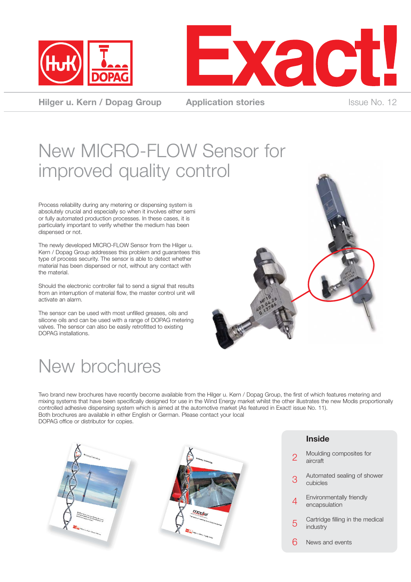



**Hilger u. Kern / Dopag Group Application stories** Issue No. 12

## New MICRO-FLOW Sensor for improved quality control

Process reliability during any metering or dispensing system is absolutely crucial and especially so when it involves either semi or fully automated production processes. In these cases, it is particularly important to verify whether the medium has been dispensed or not.

The newly developed MICRO-FLOW Sensor from the Hilger u. Kern / Dopag Group addresses this problem and guarantees this type of process security. The sensor is able to detect whether material has been dispensed or not, without any contact with the material.

Should the electronic controller fail to send a signal that results from an interruption of material flow, the master control unit will activate an alarm.

The sensor can be used with most unfilled greases, oils and silicone oils and can be used with a range of DOPAG metering valves. The sensor can also be easily retrofitted to existing DOPAG installations.

### New brochures



Two brand new brochures have recently become available from the Hilger u. Kern / Dopag Group, the first of which features metering and mixing systems that have been specifically designed for use in the Wind Energy market whilst the other illustrates the new Modis proportionally controlled adhesive dispensing system which is aimed at the automotive market (As featured in Exact! issue No. 11). Both brochures are available in either English or German. Please contact your local DOPAG office or distributor for copies.

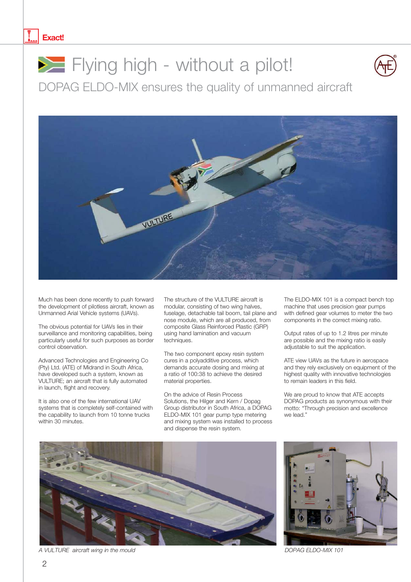#### **Exact!**



# **Flying high - without a pilot!**



DOPAG ELDO-MIX ensures the quality of unmanned aircraft



Much has been done recently to push forward the development of pilotless aircraft, known as Unmanned Arial Vehicle systems (UAVs).

The obvious potential for UAVs lies in their surveillance and monitoring capabilities, being particularly useful for such purposes as border control observation.

Advanced Technologies and Engineering Co (Pty) Ltd. (ATE) of Midrand in South Africa, have developed such a system, known as VULTURE; an aircraft that is fully automated in launch, flight and recovery.

It is also one of the few international UAV systems that is completely self-contained with the capability to launch from 10 tonne trucks within 30 minutes.

The structure of the VULTURE aircraft is modular, consisting of two wing halves, fuselage, detachable tail boom, tail plane and nose module, which are all produced, from composite Glass Reinforced Plastic (GRP) using hand lamination and vacuum techniques.

The two component epoxy resin system cures in a polyadditive process, which demands accurate dosing and mixing at a ratio of 100:38 to achieve the desired material properties.

On the advice of Resin Process Solutions, the Hilger and Kern / Dopag Group distributor in South Africa, a DOPAG ELDO-MIX 101 gear pump type metering and mixing system was installed to process and dispense the resin system.

The ELDO-MIX 101 is a compact bench top machine that uses precision gear pumps with defined gear volumes to meter the two components in the correct mixing ratio.

Output rates of up to 1.2 litres per minute are possible and the mixing ratio is easily adjustable to suit the application.

ATE view UAVs as the future in aerospace and they rely exclusively on equipment of the highest quality with innovative technologies to remain leaders in this field.

We are proud to know that ATE accepts DOPAG products as synonymous with their motto: "Through precision and excellence we lead."



A VULTURE aircraft wing in the mould and the mould be a set of the mould be a set of the DOPAG ELDO-MIX 101

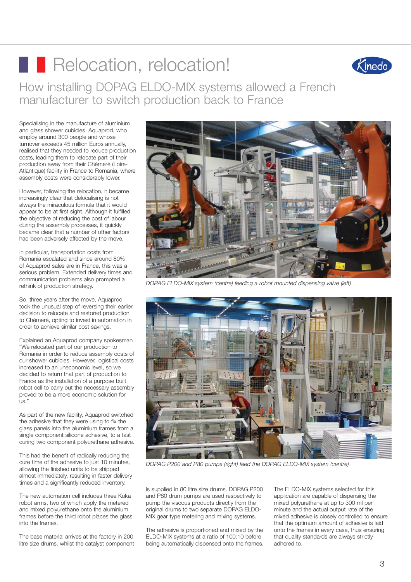# **Relocation, relocation!**



How installing DOPAG ELDO-MIX systems allowed a French manufacturer to switch production back to France

Specialising in the manufacture of aluminium and glass shower cubicles, Aquaprod, who employ around 300 people and whose turnover exceeds 45 million Euros annually, realised that they needed to reduce production costs, leading them to relocate part of their production away from their Chémeré (Loire-Atlantique) facility in France to Romania, where assembly costs were considerably lower.

However, following the relocation, it became increasingly clear that delocalising is not always the miraculous formula that it would appear to be at first sight. Although it fulfilled the objective of reducing the cost of labour during the assembly processes, it quickly became clear that a number of other factors had been adversely affected by the move.

In particular, transportation costs from Romania escalated and since around 80% of Aquaprod sales are in France, this was a serious problem. Extended delivery times and communication problems also prompted a rethink of production strategy.

So, three years after the move, Aquaprod took the unusual step of reversing their earlier decision to relocate and restored production to Chémeré, opting to invest in automation in order to achieve similar cost savings.

Explained an Aquaprod company spokesman "We relocated part of our production to Romania in order to reduce assembly costs of our shower cubicles. However, logistical costs increased to an uneconomic level, so we decided to return that part of production to France as the installation of a purpose built robot cell to carry out the necessary assembly proved to be a more economic solution for  $\mathsf{L}$ 

As part of the new facility, Aquaprod switched the adhesive that they were using to fix the glass panels into the aluminium frames from a single component silicone adhesive, to a fast curing two component polyurethane adhesive.

This had the benefit of radically reducing the cure time of the adhesive to just 10 minutes, allowing the finished units to be shipped almost immediately, resulting in faster delivery times and a significantly reduced inventory.

The new automation cell includes three Kuka robot arms, two of which apply the metered and mixed polyurethane onto the aluminium frames before the third robot places the glass into the frames.

The base material arrives at the factory in 200 litre size drums, whilst the catalyst component



*DOPAG ELDO-MIX system (centre) feeding a robot mounted dispensing valve (left)*



*DOPAG P200 and P80 pumps (right) feed the DOPAG ELDO-MIX system (centre)*

is supplied in 80 litre size drums. DOPAG P200 and P80 drum pumps are used respectively to pump the viscous products directly from the original drums to two separate DOPAG ELDO-MIX gear type metering and mixing systems.

The adhesive is proportioned and mixed by the ELDO-MIX systems at a ratio of 100:10 before being automatically dispensed onto the frames.

The ELDO-MIX systems selected for this application are capable of dispensing the mixed polyurethane at up to 300 ml per minute and the actual output rate of the mixed adhesive is closely controlled to ensure that the optimum amount of adhesive is laid onto the frames in every case, thus ensuring that quality standards are always strictly adhered to.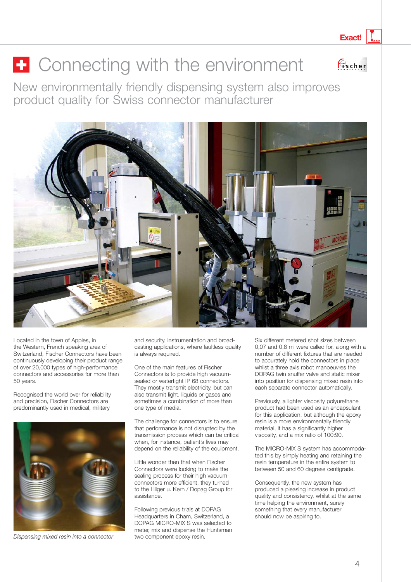**Exact!**

 $\bigcirc$ scher

# $\vdash$  Connecting with the environment

New environmentally friendly dispensing system also improves product quality for Swiss connector manufacturer



Located in the town of Apples, in the Western, French speaking area of Switzerland, Fischer Connectors have been continuously developing their product range of over 20,000 types of high-performance connectors and accessories for more than 50 years.

Recognised the world over for reliability and precision, Fischer Connectors are predominantly used in medical, military



*Dispensing mixed resin into a connector* two component epoxy resin.

and security, instrumentation and broadcasting applications, where faultless quality is always required.

One of the main features of Fischer Connectors is to provide high vacuumsealed or watertight IP 68 connectors. They mostly transmit electricity, but can also transmit light, liquids or gases and sometimes a combination of more than one type of media.

The challenge for connectors is to ensure that performance is not disrupted by the transmission process which can be critical when, for instance, patient's lives may depend on the reliability of the equipment.

Little wonder then that when Fischer Connectors were looking to make the sealing process for their high vacuum connectors more efficient, they turned to the Hilger u. Kern / Dopag Group for assistance.

Following previous trials at DOPAG Headquarters in Cham, Switzerland, a DOPAG MICRO-MIX S was selected to meter, mix and dispense the Huntsman Six different metered shot sizes between 0,07 and 0,8 ml were called for, along with a number of different fixtures that are needed to accurately hold the connectors in place whilst a three axis robot manoeuvres the DOPAG twin snuffer valve and static mixer into position for dispensing mixed resin into each separate connector automatically.

Previously, a lighter viscosity polyurethane product had been used as an encapsulant for this application, but although the epoxy resin is a more environmentally friendly material, it has a significantly higher viscosity, and a mix ratio of 100:90.

The MICRO-MIX S system has accommodated this by simply heating and retaining the resin temperature in the entire system to between 50 and 60 degrees centigrade.

Consequently, the new system has produced a pleasing increase in product quality and consistency, whilst at the same time helping the environment, surely something that every manufacturer should now be aspiring to.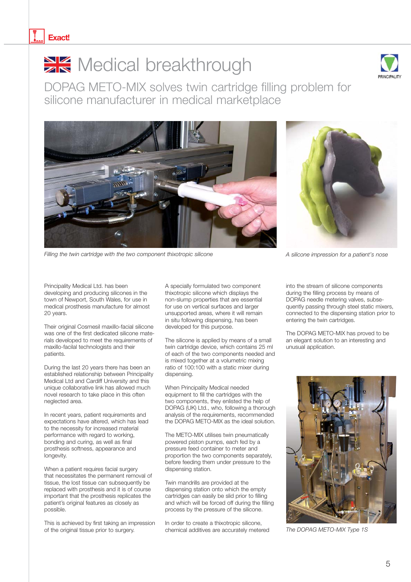

### Medical breakthrough



DOPAG METO-MIX solves twin cartridge filling problem for silicone manufacturer in medical marketplace





*Filling the twin cartridge with the two component thixotropic silicone* A silicone A silicone *impression for a patient's nose* 

Principality Medical Ltd. has been developing and producing silicones in the town of Newport, South Wales, for use in medical prosthesis manufacture for almost 20 years.

Their original Cosmesil maxillo-facial silicone was one of the first dedicated silicone materials developed to meet the requirements of maxillo-facilal technologists and their patients.

During the last 20 years there has been an established relationship between Principality Medical Ltd and Cardiff University and this unique collaborative link has allowed much novel research to take place in this often neglected area.

In recent years, patient requirements and expectations have altered, which has lead to the necessity for increased material performance with regard to working, bonding and curing, as well as final prosthesis softness, appearance and longevity.

When a patient requires facial surgery that necessitates the permanent removal of tissue, the lost tissue can subsequently be replaced with prosthesis and it is of course important that the prosthesis replicates the patient's original features as closely as possible.

This is achieved by first taking an impression of the original tissue prior to surgery.

A specially formulated two component thixotropic silicone which displays the non-slump properties that are essential for use on vertical surfaces and larger unsupported areas, where it will remain in situ following dispensing, has been developed for this purpose.

The silicone is applied by means of a small twin cartridge device, which contains 25 ml of each of the two components needed and is mixed together at a volumetric mixing ratio of 100:100 with a static mixer during dispensing.

When Principality Medical needed equipment to fill the cartridges with the two components, they enlisted the help of DOPAG (UK) Ltd., who, following a thorough analysis of the requirements, recommended the DOPAG METO-MIX as the ideal solution.

The METO-MIX utilises twin pneumatically powered piston pumps, each fed by a pressure feed container to meter and proportion the two components separately, before feeding them under pressure to the dispensing station.

Twin mandrills are provided at the dispensing station onto which the empty cartridges can easily be slid prior to filling and which will be forced off during the filling process by the pressure of the silicone.

In order to create a thixotropic silicone, chemical additives are accurately metered *The DOPAG METO-MIX Type 1S*

into the stream of silicone components during the filling process by means of DOPAG needle metering valves, subsequently passing through steel static mixers, connected to the dispensing station prior to entering the twin cartridges.

The DOPAG METO-MIX has proved to be an elegant solution to an interesting and unusual application.